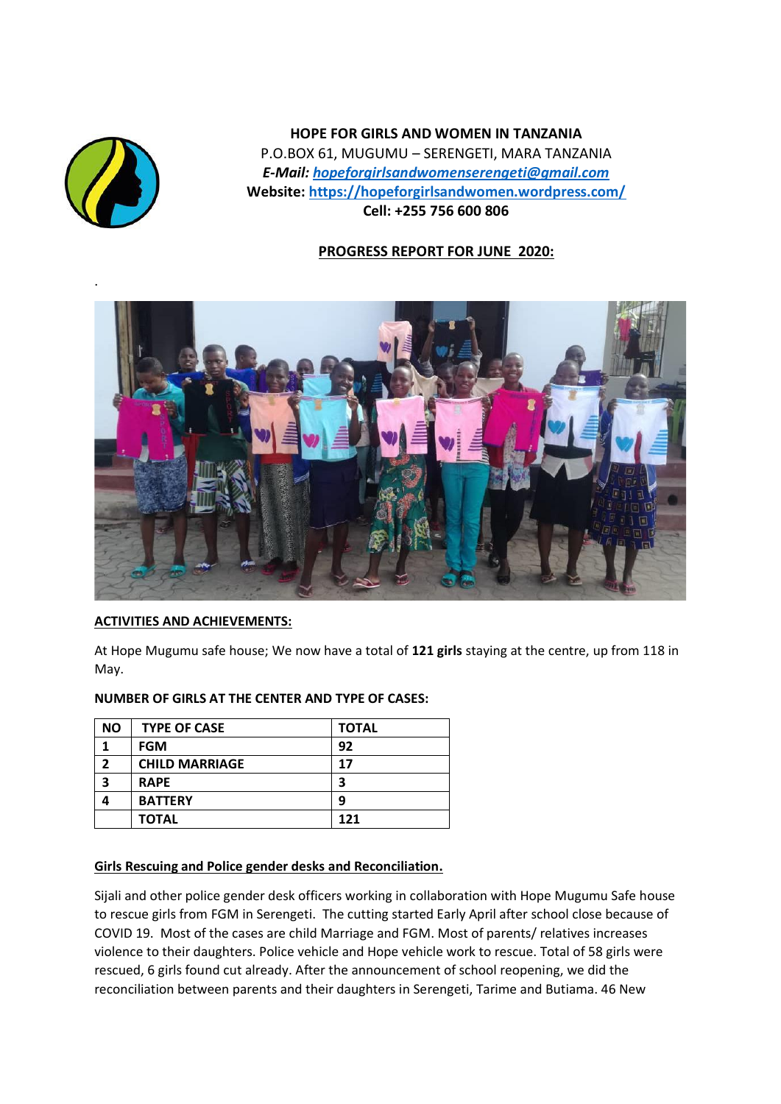

**HOPE FOR GIRLS AND WOMEN IN TANZANIA** P.O.BOX 61, MUGUMU – SERENGETI, MARA TANZANIA *E-Mail: [hopeforgirlsandwomenserengeti@gmail.com](mailto:hopeforgirlsandwomenserengeti@gmail.com)* **Website: <https://hopeforgirlsandwomen.wordpress.com/> Cell: +255 756 600 806**

# **PROGRESS REPORT FOR JUNE 2020:**



## **ACTIVITIES AND ACHIEVEMENTS:**

At Hope Mugumu safe house; We now have a total of **121 girls** staying at the centre, up from 118 in May.

#### **NUMBER OF GIRLS AT THE CENTER AND TYPE OF CASES:**

| <b>NO</b> | <b>TYPE OF CASE</b>   | <b>TOTAL</b> |
|-----------|-----------------------|--------------|
|           | <b>FGM</b>            | 92           |
| 2         | <b>CHILD MARRIAGE</b> | 17           |
| 3         | <b>RAPE</b>           | 3            |
|           | <b>BATTERY</b>        | 9            |
|           | <b>TOTAL</b>          | 121          |

## **Girls Rescuing and Police gender desks and Reconciliation.**

Sijali and other police gender desk officers working in collaboration with Hope Mugumu Safe house to rescue girls from FGM in Serengeti. The cutting started Early April after school close because of COVID 19. Most of the cases are child Marriage and FGM. Most of parents/ relatives increases violence to their daughters. Police vehicle and Hope vehicle work to rescue. Total of 58 girls were rescued, 6 girls found cut already. After the announcement of school reopening, we did the reconciliation between parents and their daughters in Serengeti, Tarime and Butiama. 46 New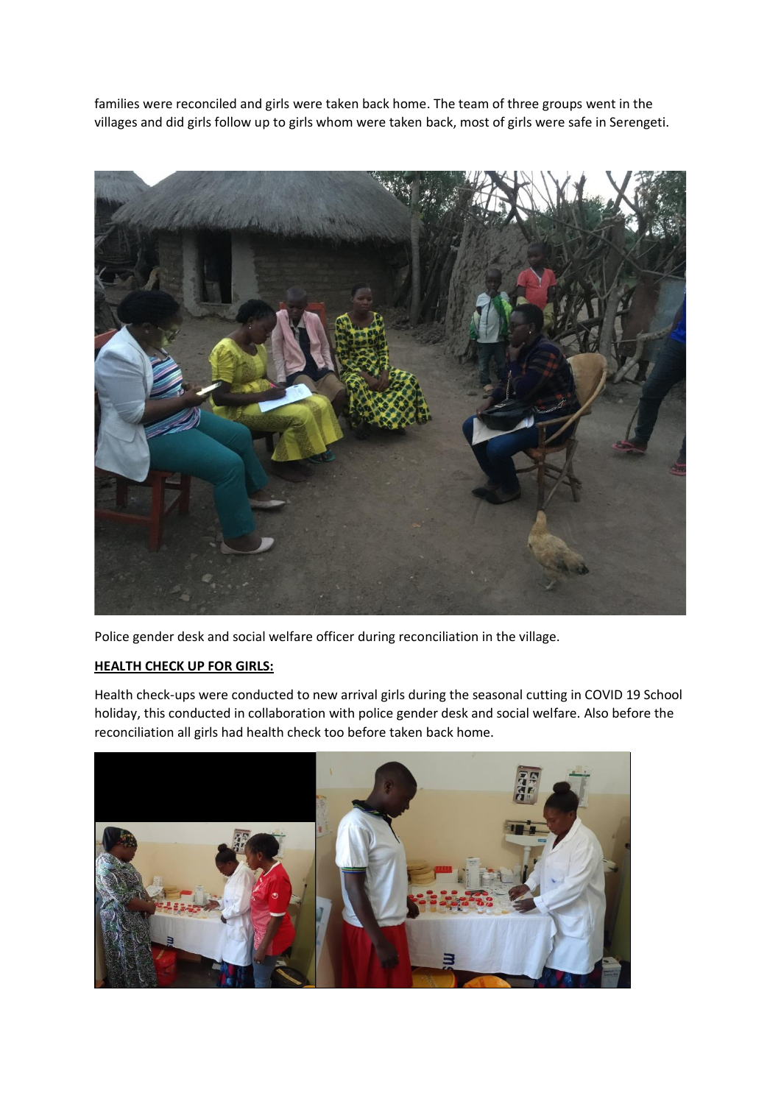families were reconciled and girls were taken back home. The team of three groups went in the villages and did girls follow up to girls whom were taken back, most of girls were safe in Serengeti.



Police gender desk and social welfare officer during reconciliation in the village.

### **HEALTH CHECK UP FOR GIRLS:**

Health check-ups were conducted to new arrival girls during the seasonal cutting in COVID 19 School holiday, this conducted in collaboration with police gender desk and social welfare. Also before the reconciliation all girls had health check too before taken back home.

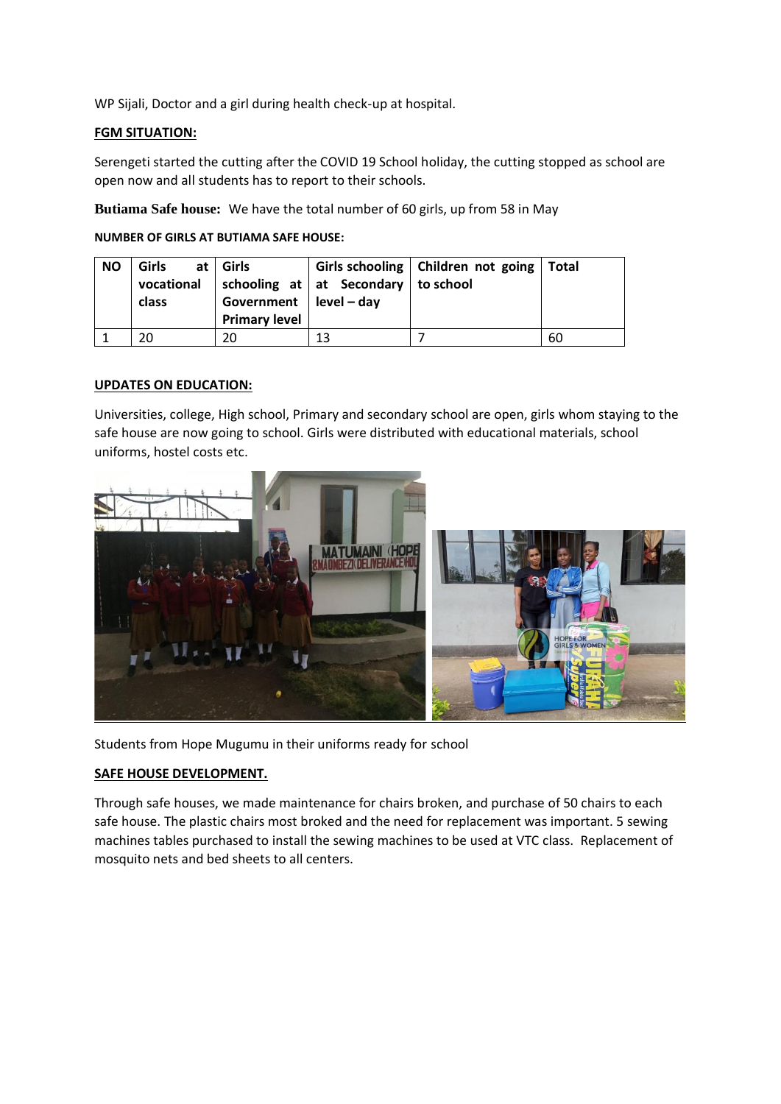WP Sijali, Doctor and a girl during health check-up at hospital.

### **FGM SITUATION:**

Serengeti started the cutting after the COVID 19 School holiday, the cutting stopped as school are open now and all students has to report to their schools.

**Butiama Safe house:** We have the total number of 60 girls, up from 58 in May

**NUMBER OF GIRLS AT BUTIAMA SAFE HOUSE:**

| <b>NO</b> | <b>Girls</b><br>vocational<br>class | at   Girls<br>Government $ $ level – day<br><b>Primary level</b> | $\vert$ schooling at $\vert$ at Secondary $\vert$ to school | Girls schooling   Children not going   Total |    |
|-----------|-------------------------------------|------------------------------------------------------------------|-------------------------------------------------------------|----------------------------------------------|----|
|           | 20                                  |                                                                  | 13                                                          |                                              | 60 |

#### **UPDATES ON EDUCATION:**

Universities, college, High school, Primary and secondary school are open, girls whom staying to the safe house are now going to school. Girls were distributed with educational materials, school uniforms, hostel costs etc.



Students from Hope Mugumu in their uniforms ready for school

#### **SAFE HOUSE DEVELOPMENT.**

Through safe houses, we made maintenance for chairs broken, and purchase of 50 chairs to each safe house. The plastic chairs most broked and the need for replacement was important. 5 sewing machines tables purchased to install the sewing machines to be used at VTC class. Replacement of mosquito nets and bed sheets to all centers.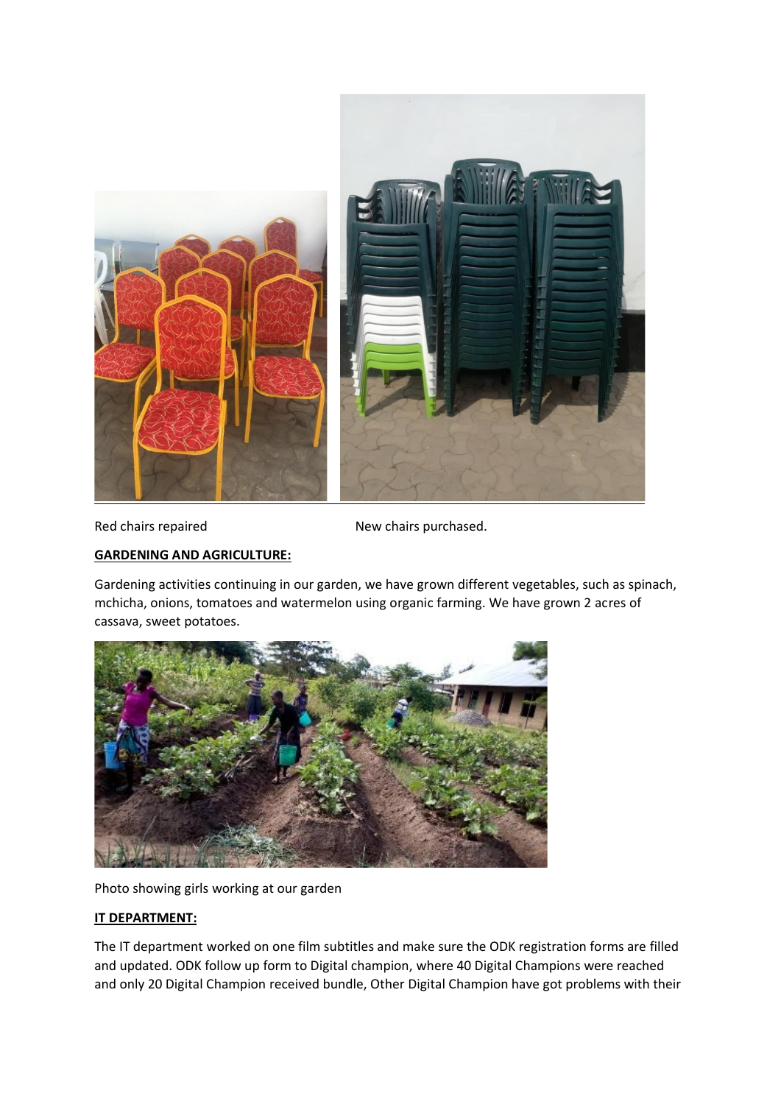

Red chairs repaired New chairs purchased.

### **GARDENING AND AGRICULTURE:**

Gardening activities continuing in our garden, we have grown different vegetables, such as spinach, mchicha, onions, tomatoes and watermelon using organic farming. We have grown 2 acres of cassava, sweet potatoes.



Photo showing girls working at our garden

#### **IT DEPARTMENT:**

The IT department worked on one film subtitles and make sure the ODK registration forms are filled and updated. ODK follow up form to Digital champion, where 40 Digital Champions were reached and only 20 Digital Champion received bundle, Other Digital Champion have got problems with their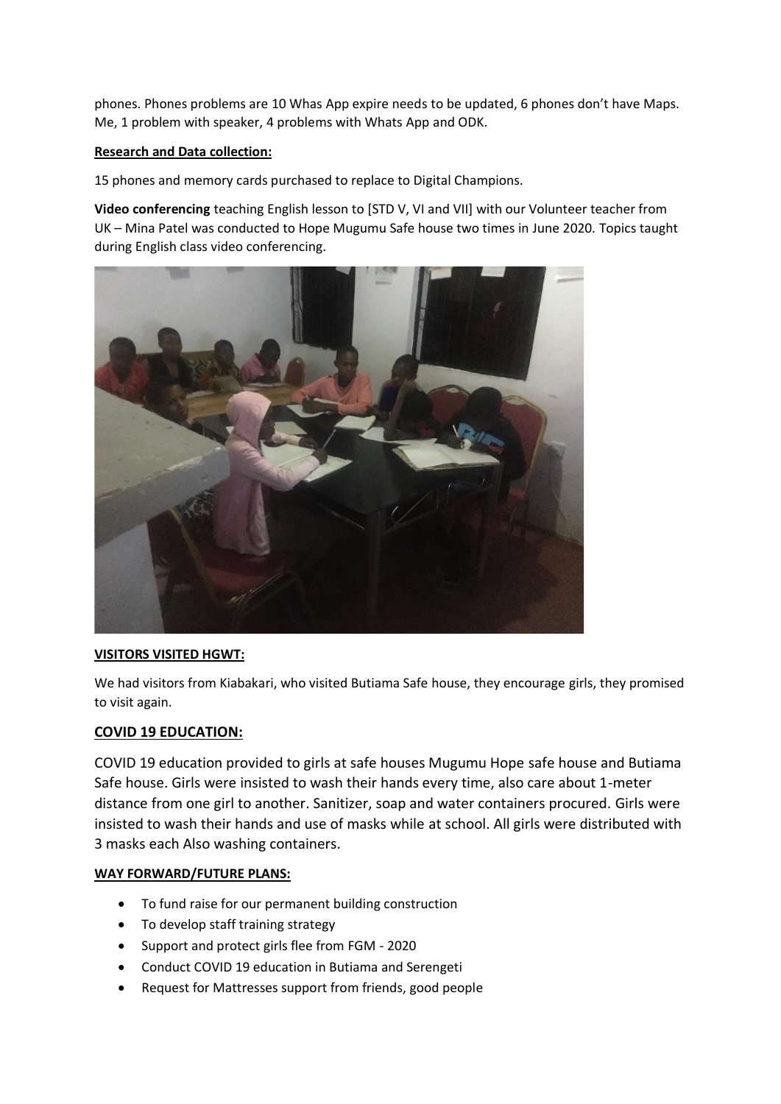phones. Phones problems are 10 Whas App expire needs to be updated, 6 phones don't have Maps. Me, 1 problem with speaker, 4 problems with Whats App and ODK.

## **Research and Data collection:**

15 phones and memory cards purchased to replace to Digital Champions.

**Video conferencing** teaching English lesson to [STD V, VI and VII] with our Volunteer teacher from UK – Mina Patel was conducted to Hope Mugumu Safe house two times in June 2020. Topics taught during English class video conferencing.



## **VISITORS VISITED HGWT:**

We had visitors from Kiabakari, who visited Butiama Safe house, they encourage girls, they promised to visit again.

## **COVID 19 EDUCATION:**

COVID 19 education provided to girls at safe houses Mugumu Hope safe house and Butiama Safe house. Girls were insisted to wash their hands every time, also care about 1-meter distance from one girl to another. Sanitizer, soap and water containers procured. Girls were insisted to wash their hands and use of masks while at school. All girls were distributed with 3 masks each Also washing containers.

## **WAY FORWARD/FUTURE PLANS:**

- To fund raise for our permanent building construction
- To develop staff training strategy
- Support and protect girls flee from FGM 2020
- Conduct COVID 19 education in Butiama and Serengeti
- Request for Mattresses support from friends, good people